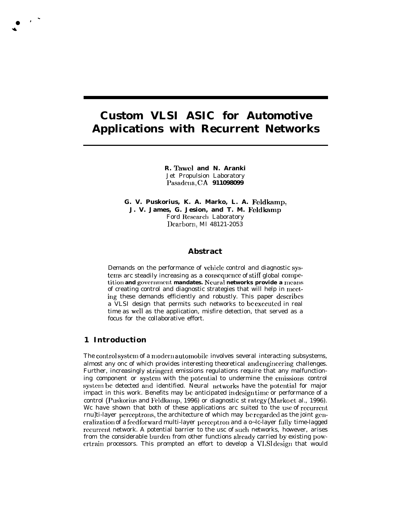# **Custom VLSI ASIC for Automotive Applications with Recurrent Networks**

**R. 'Ihwel and N. Aranki** Jet Propulsion Laboratory Pasadcma, CA **911098099**

**G. V. Puskorius, K. A. Marko, L. A. Feldkamp, J. V. James, G. Jesion, and T. M. Feldkamp** Ford Research Laboratory I)carborn, Ml 48121-2053

#### **Abstract**

Demands on the performance of vchicle control and diagnostic systems arc steadily increasing as a consequence of stiff global competition and government mandates. Neural networks provide a means of creating control and diagnostic strategies that will help in mecting these demands efficiently and robustly. This paper dcscribcs a VLSI design that permits such networks to bc cxccutcd in real time as well as the application, misfire detection, that served as a focus for the collaborative effort.

## **1 Introduction**

.

● **' \***

> The control system of a modern automobile involves several interacting subsystems, almost any onc of which provides interesting theoretical and engineering challenges. Further, increasingly stringent emissions regulations require that any malfunctioning component or system with the potential to undermine the emissions control system be detected and identified. Neural networks have the potential for major impact in this work. Benefits may bc anticipated in dcsigu tirnc or performance of a control (Puskorius and Feldkamp, 1996) or diagnostic st rategy (Marko et al., 1996). We have shown that both of these applications arc suited to the use of recurrent rnu]ti-layer perceptrons, the architecture of which may be regarded as the joint generalization of a feedforward multi-layer perceptron and a o~lc-layer fully time-lagged recurrent network. A potential barrier to the usc of such networks, however, arises from the considerable burden from other functions already carried by existing powcrtrain processors. This prompted an effort to develop a VLSI design that would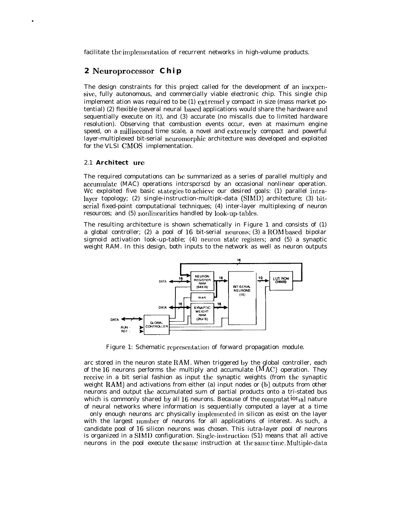facilitate the implementation of recurrent networks in high-volume products.

## **2 Neuroprocessor Chip**

.

The design constraints for this project called for the development of an incxpcn**sivc,** fully autonomous, and commercially viable electronic chip. This single chip implement ation was required to be (1) extremel y compact in size (mass market potential) (2) flexible (several neural based applications would share the hardware and sequentially execute on it), and (3) accurate (no miscalls due to limited hardware resolution). Observing that combustion events occur, even at maximum engine speed, on a millisecond time scale, a novel and extremely compact and powerful layer-multiplexed bit-serial ncurornorphic architecture was developed and exploited for the VLSI CMOS implementation.

### 2.1 **Architect ure**

The required computations can be summarized as a series of parallel multiply and accutnulatc (MAC) operations intcrspcrscd by an occasional nonlinear operation. Wc exploited five basic statcgics to achicvc our desired goals: (1) parallel intralaycr topology; (2) single-instruction-multipk-data (SIMD) architecture; (3) bitscrial fixed-point computational techniques; (4) inter-layer multiplexing of neuron resources; and (5) nonlinearities handled by look-up-tables.

The resulting architecture is shown schematically in Figure 1 and consists of (1) a global controller; (2) a pool of  $16$  bit-serial neurons; (3) a ROM based bipolar sigmoid activation look-up-table; (4) neuron state registers; and (5) a synaptic weight RAM. In this design, both inputs to the network as well as neuron outputs



Figure 1: Schematic representation of forward propagation module.

arc stored in the neuron state RAhl. When triggered by the global controller, each of the 16 neurons performs the multiply and accumulate  $(MAC)$  operation. They rcccivc in a bit serial fashion as input the synaptic weights (from the synaptic weight  $RAM$ ) and activations from either (a) input nodes or (b) outputs from other neurons and output the accumulated sum of partial products onto a tri-stated bus which is commonly shared by all 16 neurons. Because of the computational nature of neural networks where information is sequentially computed a layer at a time

only enough neurons arc physically implemented in silicon as exist on the layer with the largest number of neurons for all applications of interest. AS such, a candidate pool of 16 silicon neurons was chosen. This iutra-layer pool of neurons is organized in a SIMD configuration. Single-instruction (S1) means that all active neurons in the pool execute the same instruction at the same time. Multiple-data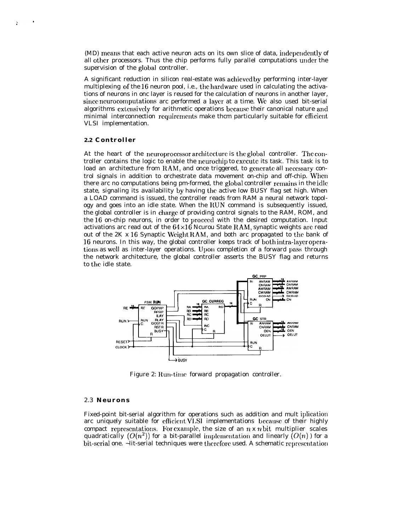(MD) means that each active neuron acts on its own slice of data, independently of all other processors. Thus the chip performs fully parallel computations under the supervision of the global controller.

A significant reduction in silicon real-estate was acbicvcd by performing inter-layer multiplexing of the  $16$  neuron pool, i.e., the hardware used in calculating the activations of neurons in onc layer is reused for the calculation of neurons in another layer, since neurocomputations arc performed a layer at a time. We also used bit-serial algorithms extensively for arithmetic operations because their canonical nature and minimal interconnection requirements make them particularly suitable for efficient VLSI implementation.

#### **2.2 Controller**

At the heart of the ncuroprocessor architecture is the global controller. The controller contains the logic to enable the ncurochip to cxccutc its task. This task is to load an architecture from RAM, and once triggered, to generate all necessary control signals in addition to orchestrate data movement on-chip and off-chip. When there arc no computations being pm-formed, the global controller remains in the idle state, signaling its availability by having the active low BUSY flag set high. When a LOAD command is issued, the controller reads from RAM a neural network topology and goes into an idle state. When the ltUN command is subsequently issued, the global controller is in charge of providing control signals to the RAM, ROM, and the 16 on-chip neurons, in order to procccd with the desired computation. Input activations arc read out of the  $64\times16$  Ncurou State RAM, synaptic weights arc read out of the 2K x 16 Synaptic Weight RAM, and both arc propagated to the bank of 16 neurons. In this way, the global controller keeps track of both intra-layer operations as well as inter-layer operations. Upon completion of a forward pass through the network architecture, the global controller asserts the BUSY flag and returns to the idle state.



Figure 2: Run-tirnc forward propagation controller.

#### 2.3 **Neurons**

Fixed-point bit-serial algorithm for operations such as addition and mult iplicatiou arc uniquely suitable for efficient VLSI implementations because of their highly compact representations. For example, the size of an  $n \times n$  bit multiplier scales quadratically  $(O(n^2))$  for a bit-parallel implementation and linearly  $(O(n))$  for a bit-scrid one. ~lit-serial techniques were thcrcforc used. A schematic rcprcscntation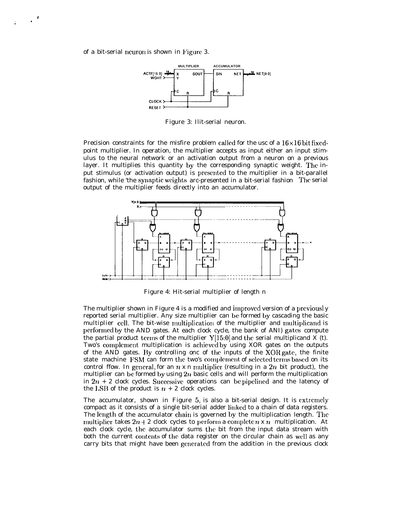of a bit-serial neuron is shown in F'igurc 3.

t t **i"**



Figure 3: Ilit-serial neuron.

Precision constraints for the misfire problem called for the usc of a  $16\times16$  bit fixedpoint multiplier. In operation, the multiplier accepts as input either an input stimulus to the neural network or an activation output from a neuron on a previous layer. It multiplies this quantity by the corresponding synaptic weight. The input stimulus (or activation output) is prcscntcd to the multiplier in a bit-parallel .<br>fashion, while 'the synaptic weights' arc-presented in a bit-serial fashion The serial output of the multiplier feeds directly into an accumulator.



Figure 4: Hit-serial multiplier of length n

The multiplier shown in Figure 4 is a modified and improved version of a previously reported serial multiplier. Any size multiplier can bc formed by cascading the basic multiplier cell. The bit-wise multiplication of the multiplier and multiplicand is pcrfcmncd by the AND gates. At each clock cycle, the bank of ANI) gates compute the partial product terms of the multiplier  $Y[15:0]$  and the serial multiplicand X (t). Two's complement multiplication is achieved by using XOR gates on the outputs of the AND gates. By controlling onc of the inputs of the  $XOR$  gate, the finite state machine FSM can form the two's complement of selected terms based on its control flow. In general, for an  $n \times n$  multiplier (resulting in a 2n bit product), the multiplier can be formed by using  $2n$  basic cells and will perform the multiplication in  $2n + 2$  clock cycles. Successive operations can be pipelined and the latency of the LSB of the product is  $n + 2$  clock cycles.

The accumulator, shown in Figure 5, is also a bit-serial design. It is cxtrcmcly compact as it consists of a single bit-serial adder liukcd to a chain of data registers. The length of the accumulator chain is governed by the multiplication length. The multiplicr takes  $2n+2$  clock cycles to perform a complete  $n \times n$  multiplication. At each clock cycle, the accumulator sums the bit from the input data stream with both the current contents of the data register on the circular chain as well as any carry bits that might have been gcncratcd from the addition in the previous clock